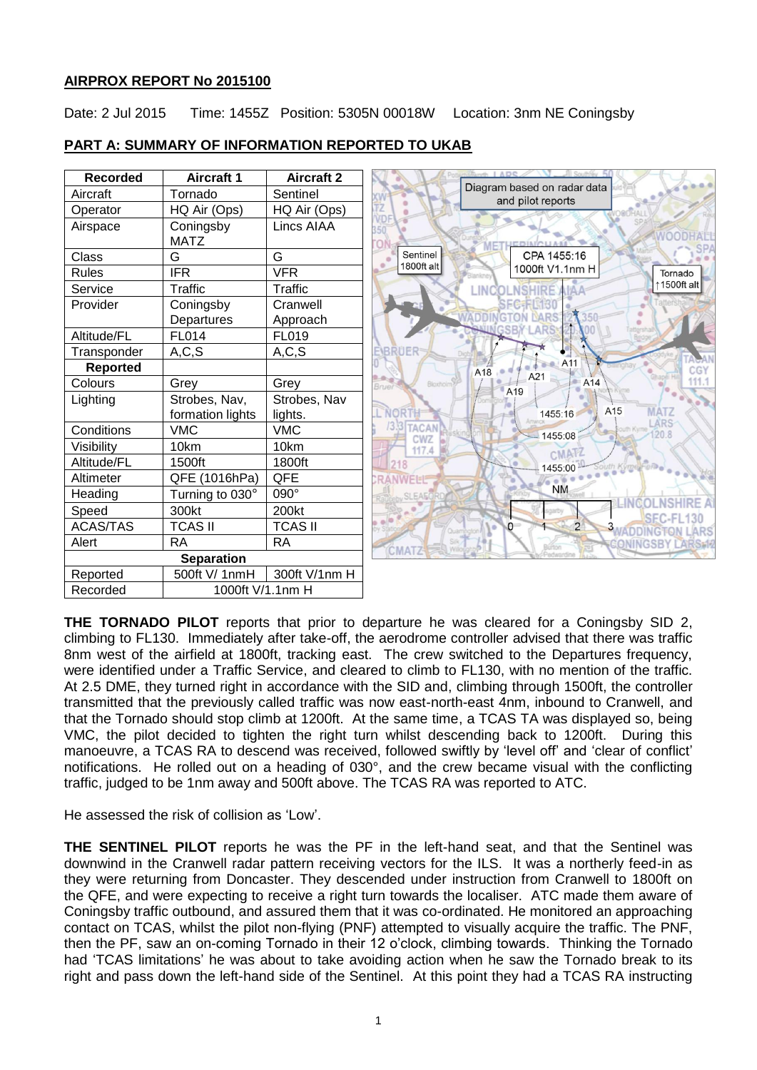## **AIRPROX REPORT No 2015100**

Date: 2 Jul 2015 Time: 1455Z Position: 5305N 00018W Location: 3nm NE Coningsby

| <b>Recorded</b>   | <b>Aircraft 1</b> | <b>Aircraft 2</b> |                                                  |  |
|-------------------|-------------------|-------------------|--------------------------------------------------|--|
| Aircraft          | Tornado           | Sentinel          | Diagram based on radar data<br>and pilot reports |  |
| Operator          | HQ Air (Ops)      | HQ Air (Ops)      |                                                  |  |
| Airspace          | Coningsby         | Lincs AIAA        |                                                  |  |
|                   | <b>MATZ</b>       |                   |                                                  |  |
| Class             | G                 | G                 | Sentinel<br>CPA 1455:16<br>1800ft alt            |  |
| <b>Rules</b>      | <b>IFR</b>        | <b>VFR</b>        | 1000ft V1.1nm H<br>Tornado                       |  |
| Service           | <b>Traffic</b>    | Traffic           | 1500ft alt<br><b>INC</b>                         |  |
| Provider          | Coningsby         | Cranwell          | SECERING                                         |  |
|                   | Departures        | Approach          | MRS                                              |  |
| Altitude/FL       | FL014             | FL019             |                                                  |  |
| Transponder       | A, C, S           | A, C, S           | EIBRUER                                          |  |
| <b>Reported</b>   |                   |                   | A11<br>A18                                       |  |
| Colours           | Grey              | Grey              | A21<br>A14<br>Bloxholn<br>Bruei<br>A19           |  |
| Lighting          | Strobes, Nav,     | Strobes, Nav      |                                                  |  |
|                   | formation lights  | lights.           | A15<br><b>MATZ</b><br>1455:16                    |  |
| Conditions        | <b>VMC</b>        | <b>VMC</b>        | ARS<br><b>3.3 TACAN</b><br>1455:08               |  |
| Visibility        | 10km              | 10km              | CWZ<br>117.4<br><b>CMATZ</b>                     |  |
| Altitude/FL       | 1500ft            | 1800ft            | 1455:00<br>ith Kyme Ferre                        |  |
| Altimeter         | QFE (1016hPa)     | QFE               | <b>NWFI-IP</b>                                   |  |
| Heading           | Turning to 030°   | 090°              | <b>NM</b><br>SI FAE                              |  |
| Speed             | 300kt             | 200kt             | SEC-FL130                                        |  |
| <b>ACAS/TAS</b>   | <b>TCAS II</b>    | <b>TCAS II</b>    | O.<br>WADDINGTON<br>LARS                         |  |
| Alert             | <b>RA</b>         | <b>RA</b>         | ONINGSBY LARS<br>CMATZ                           |  |
| <b>Separation</b> |                   |                   |                                                  |  |
| Reported          | 500ft V/ 1nmH     | 300ft V/1nm H     |                                                  |  |
| Recorded          | 1000ft V/1.1nm H  |                   |                                                  |  |

# **PART A: SUMMARY OF INFORMATION REPORTED TO UKAB**

**THE TORNADO PILOT** reports that prior to departure he was cleared for a Coningsby SID 2, climbing to FL130. Immediately after take-off, the aerodrome controller advised that there was traffic 8nm west of the airfield at 1800ft, tracking east. The crew switched to the Departures frequency, were identified under a Traffic Service, and cleared to climb to FL130, with no mention of the traffic. At 2.5 DME, they turned right in accordance with the SID and, climbing through 1500ft, the controller transmitted that the previously called traffic was now east-north-east 4nm, inbound to Cranwell, and that the Tornado should stop climb at 1200ft. At the same time, a TCAS TA was displayed so, being VMC, the pilot decided to tighten the right turn whilst descending back to 1200ft. During this manoeuvre, a TCAS RA to descend was received, followed swiftly by 'level off' and 'clear of conflict' notifications. He rolled out on a heading of 030°, and the crew became visual with the conflicting traffic, judged to be 1nm away and 500ft above. The TCAS RA was reported to ATC.

He assessed the risk of collision as 'Low'.

**THE SENTINEL PILOT** reports he was the PF in the left-hand seat, and that the Sentinel was downwind in the Cranwell radar pattern receiving vectors for the ILS. It was a northerly feed-in as they were returning from Doncaster. They descended under instruction from Cranwell to 1800ft on the QFE, and were expecting to receive a right turn towards the localiser. ATC made them aware of Coningsby traffic outbound, and assured them that it was co-ordinated. He monitored an approaching contact on TCAS, whilst the pilot non-flying (PNF) attempted to visually acquire the traffic. The PNF, then the PF, saw an on-coming Tornado in their 12 o'clock, climbing towards. Thinking the Tornado had 'TCAS limitations' he was about to take avoiding action when he saw the Tornado break to its right and pass down the left-hand side of the Sentinel. At this point they had a TCAS RA instructing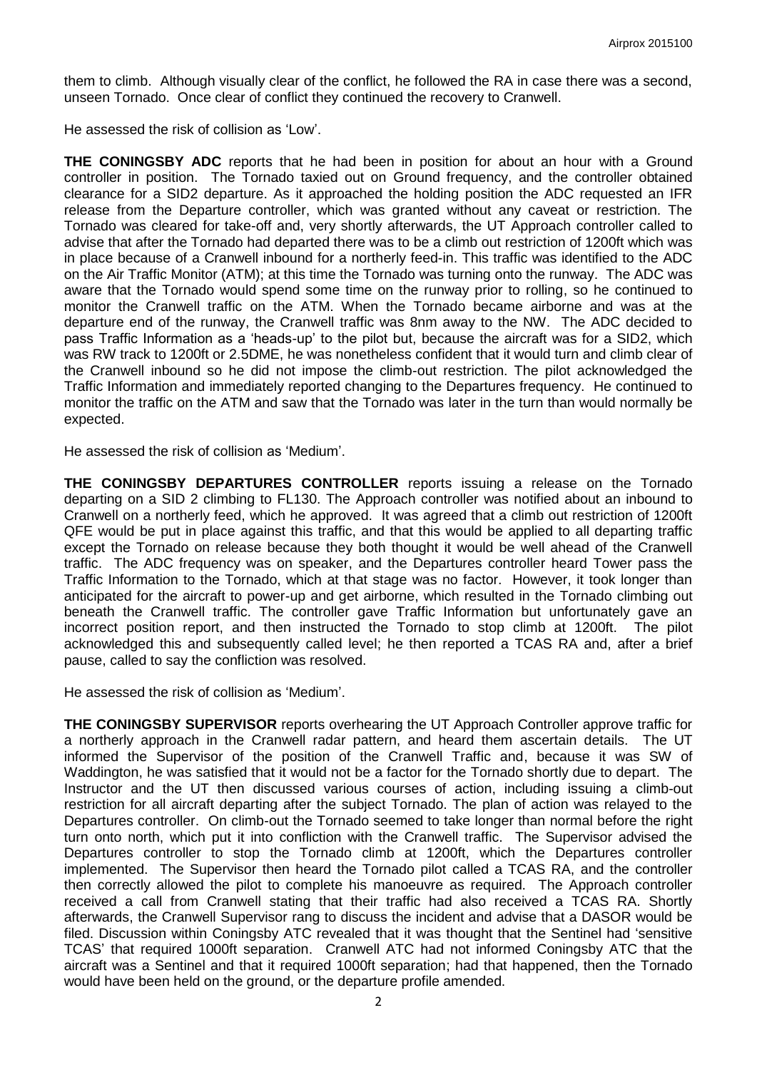them to climb. Although visually clear of the conflict, he followed the RA in case there was a second, unseen Tornado. Once clear of conflict they continued the recovery to Cranwell.

He assessed the risk of collision as 'Low'.

**THE CONINGSBY ADC** reports that he had been in position for about an hour with a Ground controller in position. The Tornado taxied out on Ground frequency, and the controller obtained clearance for a SID2 departure. As it approached the holding position the ADC requested an IFR release from the Departure controller, which was granted without any caveat or restriction. The Tornado was cleared for take-off and, very shortly afterwards, the UT Approach controller called to advise that after the Tornado had departed there was to be a climb out restriction of 1200ft which was in place because of a Cranwell inbound for a northerly feed-in. This traffic was identified to the ADC on the Air Traffic Monitor (ATM); at this time the Tornado was turning onto the runway. The ADC was aware that the Tornado would spend some time on the runway prior to rolling, so he continued to monitor the Cranwell traffic on the ATM. When the Tornado became airborne and was at the departure end of the runway, the Cranwell traffic was 8nm away to the NW. The ADC decided to pass Traffic Information as a 'heads-up' to the pilot but, because the aircraft was for a SID2, which was RW track to 1200ft or 2.5DME, he was nonetheless confident that it would turn and climb clear of the Cranwell inbound so he did not impose the climb-out restriction. The pilot acknowledged the Traffic Information and immediately reported changing to the Departures frequency. He continued to monitor the traffic on the ATM and saw that the Tornado was later in the turn than would normally be expected.

He assessed the risk of collision as 'Medium'.

**THE CONINGSBY DEPARTURES CONTROLLER** reports issuing a release on the Tornado departing on a SID 2 climbing to FL130. The Approach controller was notified about an inbound to Cranwell on a northerly feed, which he approved. It was agreed that a climb out restriction of 1200ft QFE would be put in place against this traffic, and that this would be applied to all departing traffic except the Tornado on release because they both thought it would be well ahead of the Cranwell traffic. The ADC frequency was on speaker, and the Departures controller heard Tower pass the Traffic Information to the Tornado, which at that stage was no factor. However, it took longer than anticipated for the aircraft to power-up and get airborne, which resulted in the Tornado climbing out beneath the Cranwell traffic. The controller gave Traffic Information but unfortunately gave an incorrect position report, and then instructed the Tornado to stop climb at 1200ft. The pilot acknowledged this and subsequently called level; he then reported a TCAS RA and, after a brief pause, called to say the confliction was resolved.

He assessed the risk of collision as 'Medium'.

**THE CONINGSBY SUPERVISOR** reports overhearing the UT Approach Controller approve traffic for a northerly approach in the Cranwell radar pattern, and heard them ascertain details. The UT informed the Supervisor of the position of the Cranwell Traffic and, because it was SW of Waddington, he was satisfied that it would not be a factor for the Tornado shortly due to depart. The Instructor and the UT then discussed various courses of action, including issuing a climb-out restriction for all aircraft departing after the subject Tornado. The plan of action was relayed to the Departures controller. On climb-out the Tornado seemed to take longer than normal before the right turn onto north, which put it into confliction with the Cranwell traffic. The Supervisor advised the Departures controller to stop the Tornado climb at 1200ft, which the Departures controller implemented. The Supervisor then heard the Tornado pilot called a TCAS RA, and the controller then correctly allowed the pilot to complete his manoeuvre as required. The Approach controller received a call from Cranwell stating that their traffic had also received a TCAS RA. Shortly afterwards, the Cranwell Supervisor rang to discuss the incident and advise that a DASOR would be filed. Discussion within Coningsby ATC revealed that it was thought that the Sentinel had 'sensitive TCAS' that required 1000ft separation. Cranwell ATC had not informed Coningsby ATC that the aircraft was a Sentinel and that it required 1000ft separation; had that happened, then the Tornado would have been held on the ground, or the departure profile amended.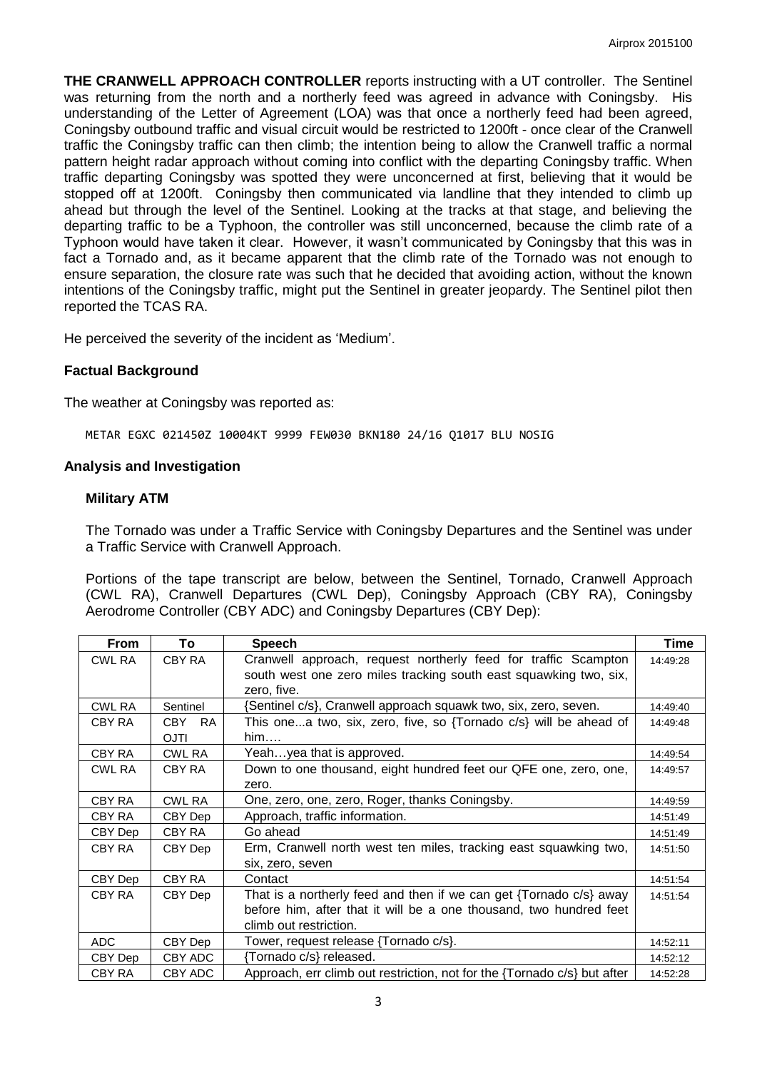**THE CRANWELL APPROACH CONTROLLER** reports instructing with a UT controller. The Sentinel was returning from the north and a northerly feed was agreed in advance with Coningsby. His understanding of the Letter of Agreement (LOA) was that once a northerly feed had been agreed, Coningsby outbound traffic and visual circuit would be restricted to 1200ft - once clear of the Cranwell traffic the Coningsby traffic can then climb; the intention being to allow the Cranwell traffic a normal pattern height radar approach without coming into conflict with the departing Coningsby traffic. When traffic departing Coningsby was spotted they were unconcerned at first, believing that it would be stopped off at 1200ft. Coningsby then communicated via landline that they intended to climb up ahead but through the level of the Sentinel. Looking at the tracks at that stage, and believing the departing traffic to be a Typhoon, the controller was still unconcerned, because the climb rate of a Typhoon would have taken it clear. However, it wasn't communicated by Coningsby that this was in fact a Tornado and, as it became apparent that the climb rate of the Tornado was not enough to ensure separation, the closure rate was such that he decided that avoiding action, without the known intentions of the Coningsby traffic, might put the Sentinel in greater jeopardy. The Sentinel pilot then reported the TCAS RA.

He perceived the severity of the incident as 'Medium'.

### **Factual Background**

The weather at Coningsby was reported as:

METAR EGXC 021450Z 10004KT 9999 FEW030 BKN180 24/16 Q1017 BLU NOSIG

#### **Analysis and Investigation**

#### **Military ATM**

The Tornado was under a Traffic Service with Coningsby Departures and the Sentinel was under a Traffic Service with Cranwell Approach.

Portions of the tape transcript are below, between the Sentinel, Tornado, Cranwell Approach (CWL RA), Cranwell Departures (CWL Dep), Coningsby Approach (CBY RA), Coningsby Aerodrome Controller (CBY ADC) and Coningsby Departures (CBY Dep):

| <b>From</b>   | To                 | <b>Speech</b>                                                                   | Time     |
|---------------|--------------------|---------------------------------------------------------------------------------|----------|
| <b>CWL RA</b> | CBY RA             | Cranwell approach, request northerly feed for traffic Scampton                  | 14:49:28 |
|               |                    | south west one zero miles tracking south east squawking two, six,               |          |
|               |                    | zero, five.                                                                     |          |
| CWL RA        | Sentinel           | {Sentinel c/s}, Cranwell approach squawk two, six, zero, seven.                 | 14:49:40 |
| CBY RA        | CBY .<br><b>RA</b> | This onea two, six, zero, five, so {Tornado $c/s$ } will be ahead of            | 14:49:48 |
|               | <b>OJTI</b>        | him                                                                             |          |
| CBY RA        | <b>CWL RA</b>      | Yeahyea that is approved.                                                       | 14:49:54 |
| CWL RA        | CBY RA             | Down to one thousand, eight hundred feet our QFE one, zero, one,                | 14:49:57 |
|               |                    | zero.                                                                           |          |
| CBY RA        | CWL RA             | One, zero, one, zero, Roger, thanks Coningsby.                                  | 14:49:59 |
| CBY RA        | CBY Dep            | Approach, traffic information.                                                  | 14:51:49 |
| CBY Dep       | CBY RA             | Go ahead                                                                        | 14:51:49 |
| CBY RA        | CBY Dep            | Erm, Cranwell north west ten miles, tracking east squawking two,                | 14:51:50 |
|               |                    | six, zero, seven                                                                |          |
| CBY Dep       | CBY RA             | Contact                                                                         | 14:51:54 |
| CBY RA        | CBY Dep            | That is a northerly feed and then if we can get {Tornado c/s} away              | 14:51:54 |
|               |                    | before him, after that it will be a one thousand, two hundred feet              |          |
|               |                    | climb out restriction.                                                          |          |
| ADC           | CBY Dep            | Tower, request release {Tornado c/s}.                                           | 14:52:11 |
| CBY Dep       | CBY ADC            | {Tornado c/s} released.                                                         | 14:52:12 |
| CBY RA        | CBY ADC            | Approach, err climb out restriction, not for the $\{T$ ornado $c/s\}$ but after | 14:52:28 |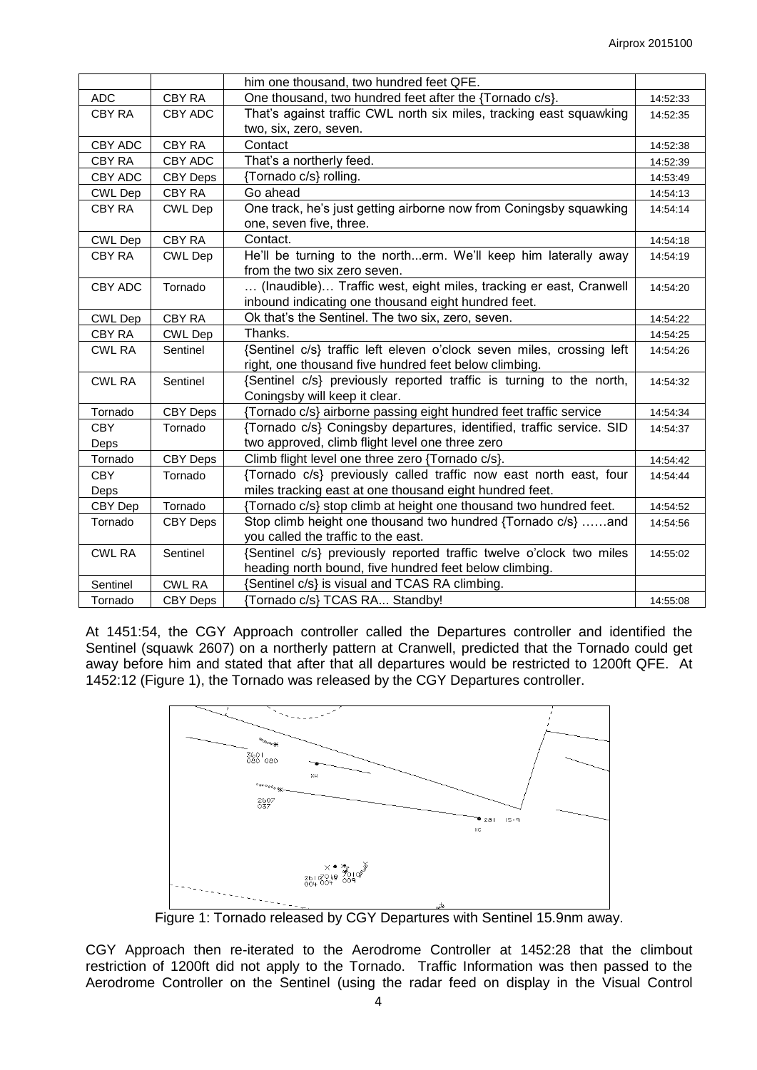|               |                 | him one thousand, two hundred feet QFE.                               |          |
|---------------|-----------------|-----------------------------------------------------------------------|----------|
| <b>ADC</b>    | CBY RA          | One thousand, two hundred feet after the {Tornado c/s}.               | 14:52:33 |
| <b>CBY RA</b> | CBY ADC         | That's against traffic CWL north six miles, tracking east squawking   | 14:52:35 |
|               |                 | two, six, zero, seven.                                                |          |
| CBY ADC       | CBY RA          | Contact                                                               | 14:52:38 |
| CBY RA        | CBY ADC         | That's a northerly feed.                                              | 14:52:39 |
| CBY ADC       | CBY Deps        | {Tornado c/s} rolling.                                                | 14:53:49 |
| CWL Dep       | CBY RA          | Go ahead                                                              | 14:54:13 |
| CBY RA        | <b>CWL Dep</b>  | One track, he's just getting airborne now from Coningsby squawking    | 14:54:14 |
|               |                 | one, seven five, three.                                               |          |
| CWL Dep       | <b>CBY RA</b>   | Contact.                                                              | 14:54:18 |
| CBY RA        | <b>CWL Dep</b>  | He'll be turning to the northerm. We'll keep him laterally away       | 14:54:19 |
|               |                 | from the two six zero seven.                                          |          |
| CBY ADC       | Tornado         | (Inaudible) Traffic west, eight miles, tracking er east, Cranwell     | 14:54:20 |
|               |                 | inbound indicating one thousand eight hundred feet.                   |          |
| CWL Dep       | <b>CBY RA</b>   | Ok that's the Sentinel. The two six, zero, seven.                     | 14:54:22 |
| CBY RA        | <b>CWL Dep</b>  | Thanks.                                                               | 14:54:25 |
| <b>CWL RA</b> | Sentinel        | {Sentinel c/s} traffic left eleven o'clock seven miles, crossing left | 14:54:26 |
|               |                 | right, one thousand five hundred feet below climbing.                 |          |
| <b>CWL RA</b> | Sentinel        | {Sentinel c/s} previously reported traffic is turning to the north,   | 14:54:32 |
|               |                 | Coningsby will keep it clear.                                         |          |
| Tornado       | CBY Deps        | {Tornado c/s} airborne passing eight hundred feet traffic service     | 14:54:34 |
| <b>CBY</b>    | Tornado         | {Tornado c/s} Coningsby departures, identified, traffic service. SID  | 14:54:37 |
| Deps          |                 | two approved, climb flight level one three zero                       |          |
| Tornado       | CBY Deps        | Climb flight level one three zero {Tornado c/s}.                      | 14:54:42 |
| <b>CBY</b>    | Tornado         | {Tornado c/s} previously called traffic now east north east, four     | 14:54:44 |
| Deps          |                 | miles tracking east at one thousand eight hundred feet.               |          |
| CBY Dep       | Tornado         | {Tornado c/s} stop climb at height one thousand two hundred feet.     | 14:54:52 |
| Tornado       | <b>CBY Deps</b> | Stop climb height one thousand two hundred {Tornado c/s} and          | 14:54:56 |
|               |                 | you called the traffic to the east.                                   |          |
| <b>CWL RA</b> | Sentinel        | {Sentinel c/s} previously reported traffic twelve o'clock two miles   | 14:55:02 |
|               |                 | heading north bound, five hundred feet below climbing.                |          |
| Sentinel      | <b>CWL RA</b>   | {Sentinel c/s} is visual and TCAS RA climbing.                        |          |
| Tornado       | <b>CBY Deps</b> | {Tornado c/s} TCAS RA Standby!                                        | 14:55:08 |

At 1451:54, the CGY Approach controller called the Departures controller and identified the Sentinel (squawk 2607) on a northerly pattern at Cranwell, predicted that the Tornado could get away before him and stated that after that all departures would be restricted to 1200ft QFE. At 1452:12 (Figure 1), the Tornado was released by the CGY Departures controller.



Figure 1: Tornado released by CGY Departures with Sentinel 15.9nm away.

CGY Approach then re-iterated to the Aerodrome Controller at 1452:28 that the climbout restriction of 1200ft did not apply to the Tornado. Traffic Information was then passed to the Aerodrome Controller on the Sentinel (using the radar feed on display in the Visual Control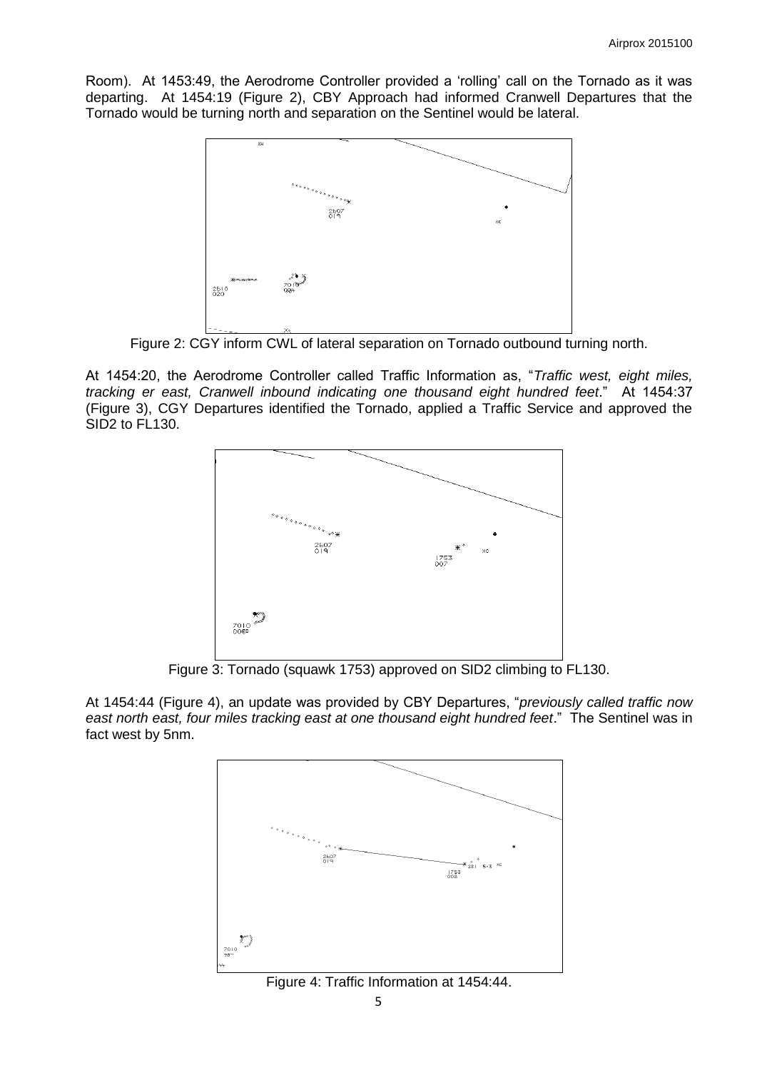Room). At 1453:49, the Aerodrome Controller provided a 'rolling' call on the Tornado as it was departing. At 1454:19 (Figure 2), CBY Approach had informed Cranwell Departures that the Tornado would be turning north and separation on the Sentinel would be lateral.



Figure 2: CGY inform CWL of lateral separation on Tornado outbound turning north.

At 1454:20, the Aerodrome Controller called Traffic Information as, "*Traffic west, eight miles, tracking er east, Cranwell inbound indicating one thousand eight hundred feet*." At 1454:37 (Figure 3), CGY Departures identified the Tornado, applied a Traffic Service and approved the SID2 to FL130.



Figure 3: Tornado (squawk 1753) approved on SID2 climbing to FL130.

At 1454:44 (Figure 4), an update was provided by CBY Departures, "*previously called traffic now east north east, four miles tracking east at one thousand eight hundred feet*." The Sentinel was in fact west by 5nm.



Figure 4: Traffic Information at 1454:44.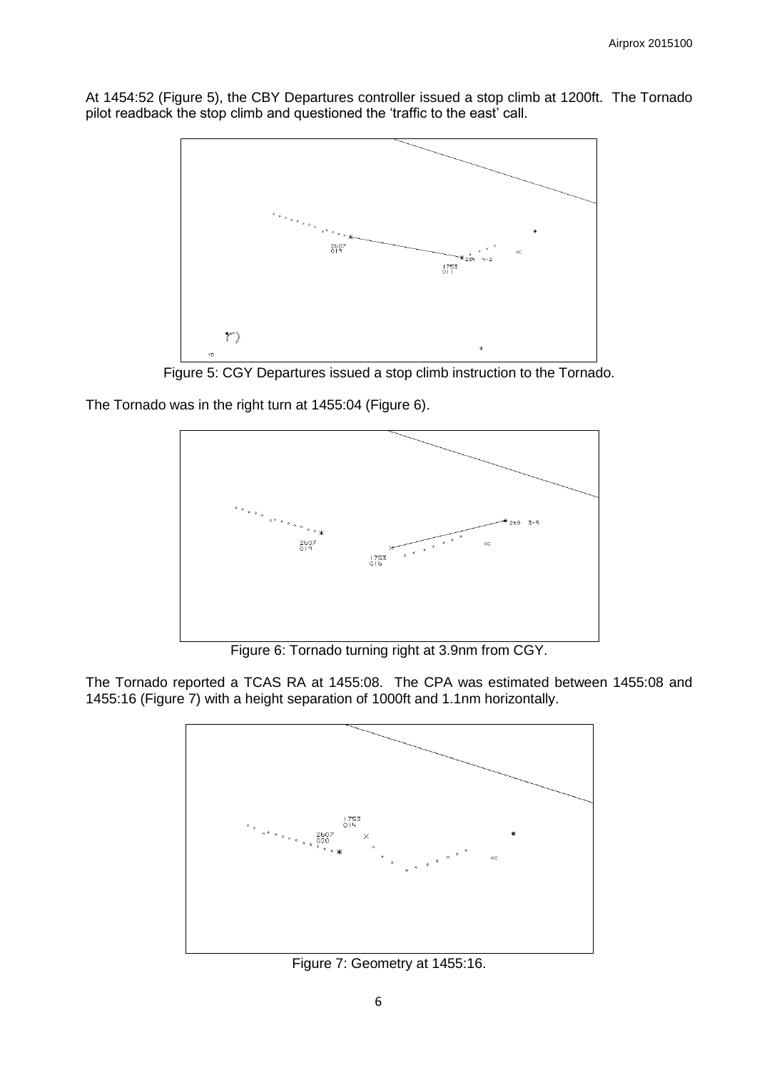At 1454:52 (Figure 5), the CBY Departures controller issued a stop climb at 1200ft. The Tornado pilot readback the stop climb and questioned the 'traffic to the east' call.



Figure 5: CGY Departures issued a stop climb instruction to the Tornado.

The Tornado was in the right turn at 1455:04 (Figure 6).



Figure 6: Tornado turning right at 3.9nm from CGY.

The Tornado reported a TCAS RA at 1455:08. The CPA was estimated between 1455:08 and 1455:16 (Figure 7) with a height separation of 1000ft and 1.1nm horizontally.



Figure 7: Geometry at 1455:16.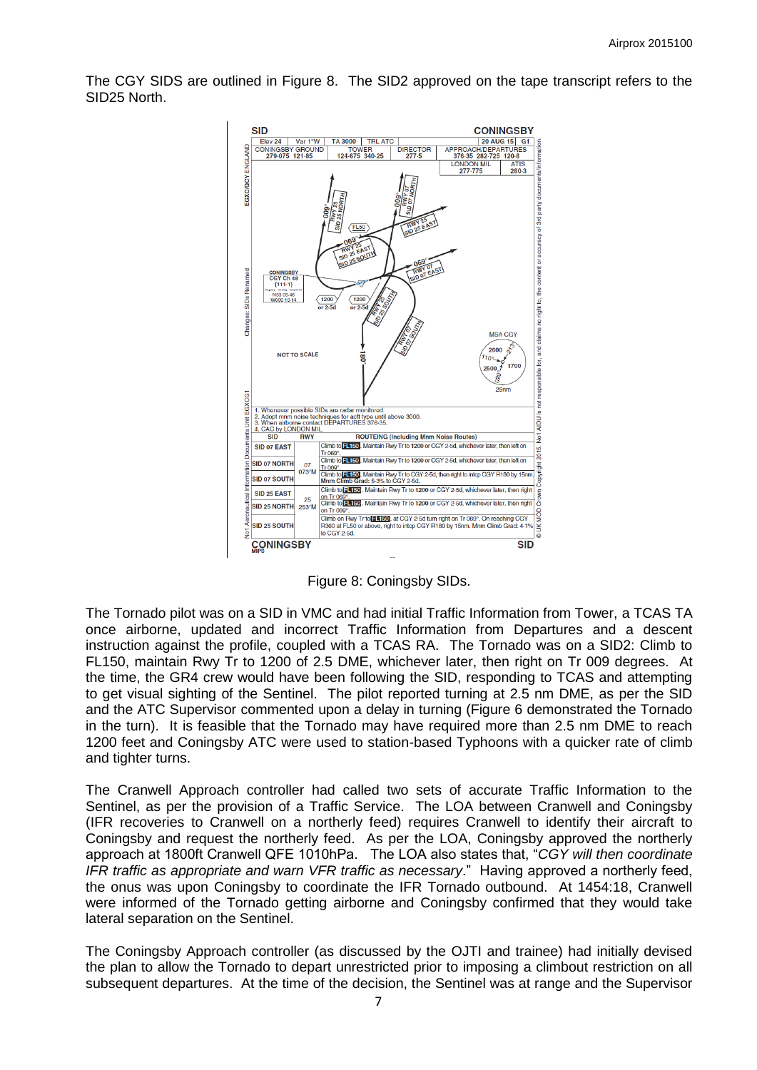The CGY SIDS are outlined in Figure 8. The SID2 approved on the tape transcript refers to the SID25 North.



Figure 8: Coningsby SIDs.

The Tornado pilot was on a SID in VMC and had initial Traffic Information from Tower, a TCAS TA once airborne, updated and incorrect Traffic Information from Departures and a descent instruction against the profile, coupled with a TCAS RA. The Tornado was on a SID2: Climb to FL150, maintain Rwy Tr to 1200 of 2.5 DME, whichever later, then right on Tr 009 degrees. At the time, the GR4 crew would have been following the SID, responding to TCAS and attempting to get visual sighting of the Sentinel. The pilot reported turning at 2.5 nm DME, as per the SID and the ATC Supervisor commented upon a delay in turning (Figure 6 demonstrated the Tornado in the turn). It is feasible that the Tornado may have required more than 2.5 nm DME to reach 1200 feet and Coningsby ATC were used to station-based Typhoons with a quicker rate of climb and tighter turns.

The Cranwell Approach controller had called two sets of accurate Traffic Information to the Sentinel, as per the provision of a Traffic Service. The LOA between Cranwell and Coningsby (IFR recoveries to Cranwell on a northerly feed) requires Cranwell to identify their aircraft to Coningsby and request the northerly feed. As per the LOA, Coningsby approved the northerly approach at 1800ft Cranwell QFE 1010hPa. The LOA also states that, "*CGY will then coordinate IFR traffic as appropriate and warn VFR traffic as necessary*." Having approved a northerly feed, the onus was upon Coningsby to coordinate the IFR Tornado outbound. At 1454:18, Cranwell were informed of the Tornado getting airborne and Coningsby confirmed that they would take lateral separation on the Sentinel.

The Coningsby Approach controller (as discussed by the OJTI and trainee) had initially devised the plan to allow the Tornado to depart unrestricted prior to imposing a climbout restriction on all subsequent departures. At the time of the decision, the Sentinel was at range and the Supervisor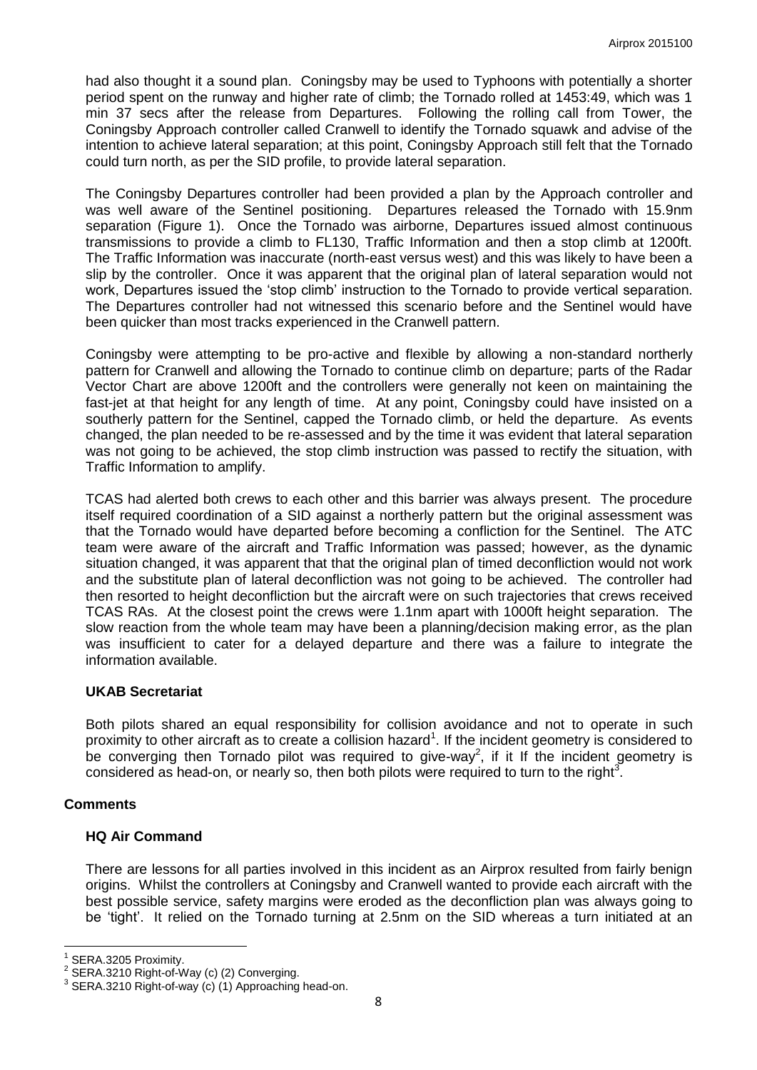had also thought it a sound plan. Coningsby may be used to Typhoons with potentially a shorter period spent on the runway and higher rate of climb; the Tornado rolled at 1453:49, which was 1 min 37 secs after the release from Departures. Following the rolling call from Tower, the Coningsby Approach controller called Cranwell to identify the Tornado squawk and advise of the intention to achieve lateral separation; at this point, Coningsby Approach still felt that the Tornado could turn north, as per the SID profile, to provide lateral separation.

The Coningsby Departures controller had been provided a plan by the Approach controller and was well aware of the Sentinel positioning. Departures released the Tornado with 15.9nm separation (Figure 1). Once the Tornado was airborne, Departures issued almost continuous transmissions to provide a climb to FL130, Traffic Information and then a stop climb at 1200ft. The Traffic Information was inaccurate (north-east versus west) and this was likely to have been a slip by the controller. Once it was apparent that the original plan of lateral separation would not work, Departures issued the 'stop climb' instruction to the Tornado to provide vertical separation. The Departures controller had not witnessed this scenario before and the Sentinel would have been quicker than most tracks experienced in the Cranwell pattern.

Coningsby were attempting to be pro-active and flexible by allowing a non-standard northerly pattern for Cranwell and allowing the Tornado to continue climb on departure; parts of the Radar Vector Chart are above 1200ft and the controllers were generally not keen on maintaining the fast-jet at that height for any length of time. At any point, Coningsby could have insisted on a southerly pattern for the Sentinel, capped the Tornado climb, or held the departure. As events changed, the plan needed to be re-assessed and by the time it was evident that lateral separation was not going to be achieved, the stop climb instruction was passed to rectify the situation, with Traffic Information to amplify.

TCAS had alerted both crews to each other and this barrier was always present. The procedure itself required coordination of a SID against a northerly pattern but the original assessment was that the Tornado would have departed before becoming a confliction for the Sentinel. The ATC team were aware of the aircraft and Traffic Information was passed; however, as the dynamic situation changed, it was apparent that that the original plan of timed deconfliction would not work and the substitute plan of lateral deconfliction was not going to be achieved. The controller had then resorted to height deconfliction but the aircraft were on such trajectories that crews received TCAS RAs. At the closest point the crews were 1.1nm apart with 1000ft height separation. The slow reaction from the whole team may have been a planning/decision making error, as the plan was insufficient to cater for a delayed departure and there was a failure to integrate the information available.

## **UKAB Secretariat**

Both pilots shared an equal responsibility for collision avoidance and not to operate in such proximity to other aircraft as to create a collision hazard<sup>1</sup>. If the incident geometry is considered to be converging then Tornado pilot was required to give-way<sup>2</sup>, if it If the incident geometry is considered as head-on, or nearly so, then both pilots were required to turn to the right<sup>3</sup>.

#### **Comments**

#### **HQ Air Command**

There are lessons for all parties involved in this incident as an Airprox resulted from fairly benign origins. Whilst the controllers at Coningsby and Cranwell wanted to provide each aircraft with the best possible service, safety margins were eroded as the deconfliction plan was always going to be 'tight'. It relied on the Tornado turning at 2.5nm on the SID whereas a turn initiated at an

 $\overline{a}$ 

<sup>1</sup> SERA.3205 Proximity.

 $2^{2}$  SERA.3210 Right-of-Way (c) (2) Converging.

 $3$  SERA.3210 Right-of-way (c) (1) Approaching head-on.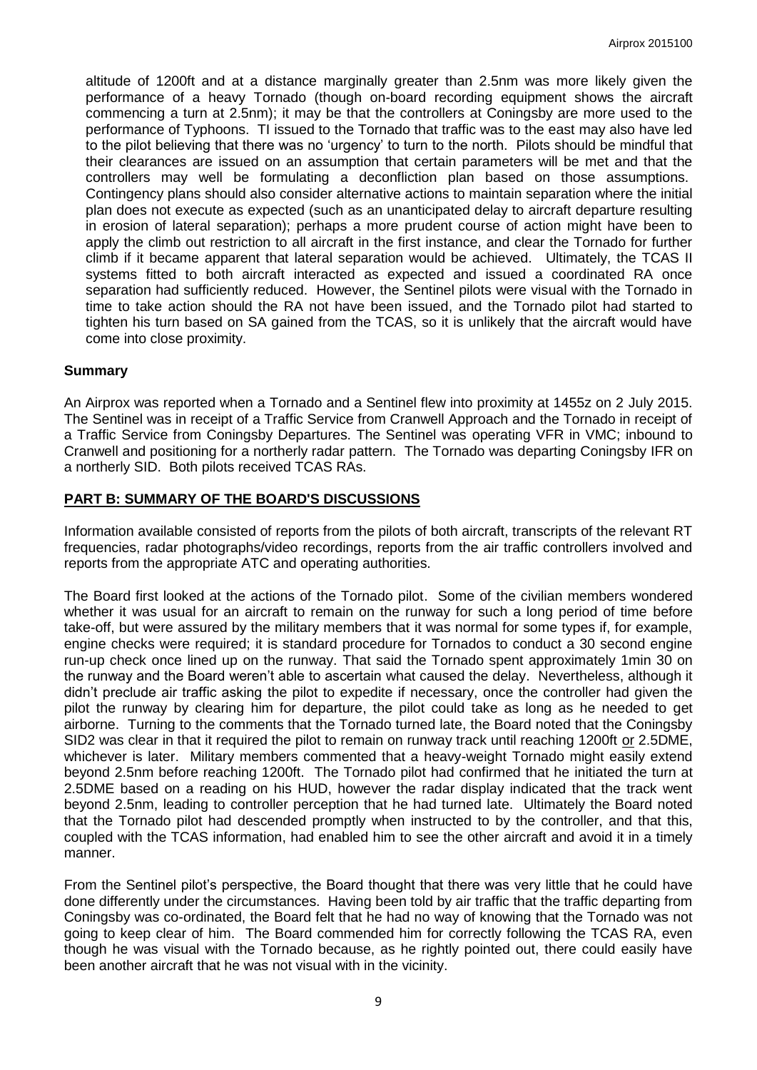altitude of 1200ft and at a distance marginally greater than 2.5nm was more likely given the performance of a heavy Tornado (though on-board recording equipment shows the aircraft commencing a turn at 2.5nm); it may be that the controllers at Coningsby are more used to the performance of Typhoons. TI issued to the Tornado that traffic was to the east may also have led to the pilot believing that there was no 'urgency' to turn to the north. Pilots should be mindful that their clearances are issued on an assumption that certain parameters will be met and that the controllers may well be formulating a deconfliction plan based on those assumptions. Contingency plans should also consider alternative actions to maintain separation where the initial plan does not execute as expected (such as an unanticipated delay to aircraft departure resulting in erosion of lateral separation); perhaps a more prudent course of action might have been to apply the climb out restriction to all aircraft in the first instance, and clear the Tornado for further climb if it became apparent that lateral separation would be achieved. Ultimately, the TCAS II systems fitted to both aircraft interacted as expected and issued a coordinated RA once separation had sufficiently reduced. However, the Sentinel pilots were visual with the Tornado in time to take action should the RA not have been issued, and the Tornado pilot had started to tighten his turn based on SA gained from the TCAS, so it is unlikely that the aircraft would have come into close proximity.

### **Summary**

An Airprox was reported when a Tornado and a Sentinel flew into proximity at 1455z on 2 July 2015. The Sentinel was in receipt of a Traffic Service from Cranwell Approach and the Tornado in receipt of a Traffic Service from Coningsby Departures. The Sentinel was operating VFR in VMC; inbound to Cranwell and positioning for a northerly radar pattern. The Tornado was departing Coningsby IFR on a northerly SID. Both pilots received TCAS RAs.

### **PART B: SUMMARY OF THE BOARD'S DISCUSSIONS**

Information available consisted of reports from the pilots of both aircraft, transcripts of the relevant RT frequencies, radar photographs/video recordings, reports from the air traffic controllers involved and reports from the appropriate ATC and operating authorities.

The Board first looked at the actions of the Tornado pilot. Some of the civilian members wondered whether it was usual for an aircraft to remain on the runway for such a long period of time before take-off, but were assured by the military members that it was normal for some types if, for example, engine checks were required; it is standard procedure for Tornados to conduct a 30 second engine run-up check once lined up on the runway. That said the Tornado spent approximately 1min 30 on the runway and the Board weren't able to ascertain what caused the delay. Nevertheless, although it didn't preclude air traffic asking the pilot to expedite if necessary, once the controller had given the pilot the runway by clearing him for departure, the pilot could take as long as he needed to get airborne. Turning to the comments that the Tornado turned late, the Board noted that the Coningsby SID2 was clear in that it required the pilot to remain on runway track until reaching 1200ft or 2.5DME, whichever is later. Military members commented that a heavy-weight Tornado might easily extend beyond 2.5nm before reaching 1200ft. The Tornado pilot had confirmed that he initiated the turn at 2.5DME based on a reading on his HUD, however the radar display indicated that the track went beyond 2.5nm, leading to controller perception that he had turned late. Ultimately the Board noted that the Tornado pilot had descended promptly when instructed to by the controller, and that this, coupled with the TCAS information, had enabled him to see the other aircraft and avoid it in a timely manner.

From the Sentinel pilot's perspective, the Board thought that there was very little that he could have done differently under the circumstances. Having been told by air traffic that the traffic departing from Coningsby was co-ordinated, the Board felt that he had no way of knowing that the Tornado was not going to keep clear of him. The Board commended him for correctly following the TCAS RA, even though he was visual with the Tornado because, as he rightly pointed out, there could easily have been another aircraft that he was not visual with in the vicinity.